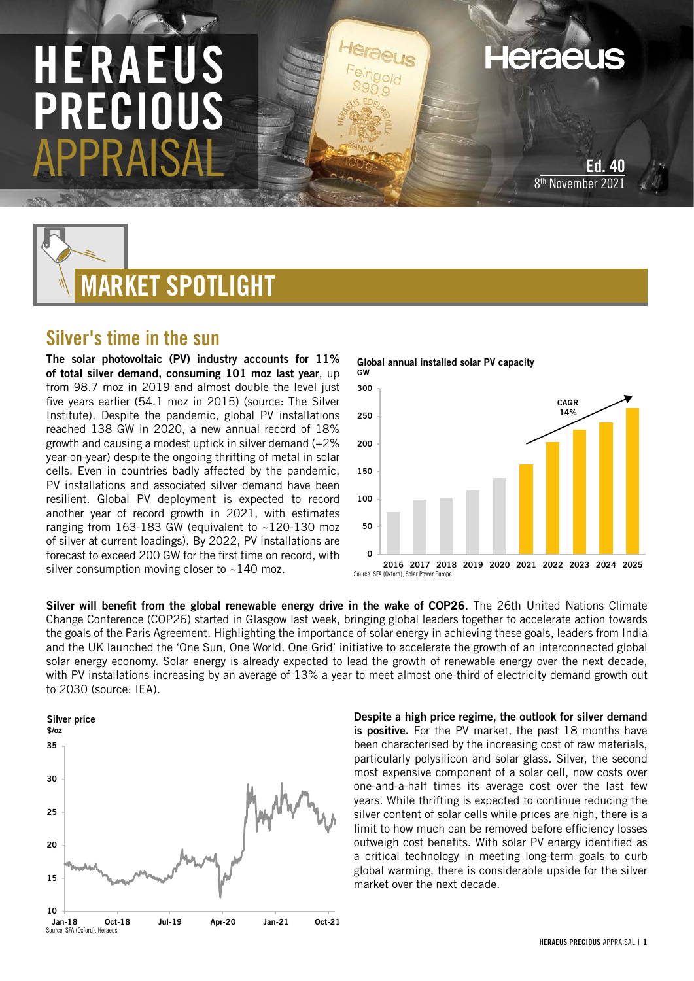# HERAEUS PRECIOU APPRAISAL

Ed. 40 8th November 2021

**Heraeus** 



# Silver's time in the sun

The solar photovoltaic (PV) industry accounts for 11% of total silver demand, consuming 101 moz last year, up from 98.7 moz in 2019 and almost double the level just five years earlier (54.1 moz in 2015) (source: The Silver Institute). Despite the pandemic, global PV installations reached 138 GW in 2020, a new annual record of 18% growth and causing a modest uptick in silver demand (+2% year-on-year) despite the ongoing thrifting of metal in solar cells. Even in countries badly affected by the pandemic, PV installations and associated silver demand have been resilient. Global PV deployment is expected to record another year of record growth in 2021, with estimates ranging from 163-183 GW (equivalent to ~120-130 moz of silver at current loadings). By 2022, PV installations are forecast to exceed 200 GW for the first time on record, with silver consumption moving closer to ~140 moz.



Silver will benefit from the global renewable energy drive in the wake of COP26. The 26th United Nations Climate Change Conference (COP26) started in Glasgow last week, bringing global leaders together to accelerate action towards the goals of the Paris Agreement. Highlighting the importance of solar energy in achieving these goals, leaders from India and the UK launched the 'One Sun, One World, One Grid' initiative to accelerate the growth of an interconnected global solar energy economy. Solar energy is already expected to lead the growth of renewable energy over the next decade, with PV installations increasing by an average of 13% a year to meet almost one-third of electricity demand growth out to 2030 (source: IEA).



Despite a high price regime, the outlook for silver demand is positive. For the PV market, the past 18 months have been characterised by the increasing cost of raw materials, particularly polysilicon and solar glass. Silver, the second most expensive component of a solar cell, now costs over one-and-a-half times its average cost over the last few years. While thrifting is expected to continue reducing the silver content of solar cells while prices are high, there is a limit to how much can be removed before efficiency losses outweigh cost benefits. With solar PV energy identified as a critical technology in meeting long-term goals to curb global warming, there is considerable upside for the silver market over the next decade.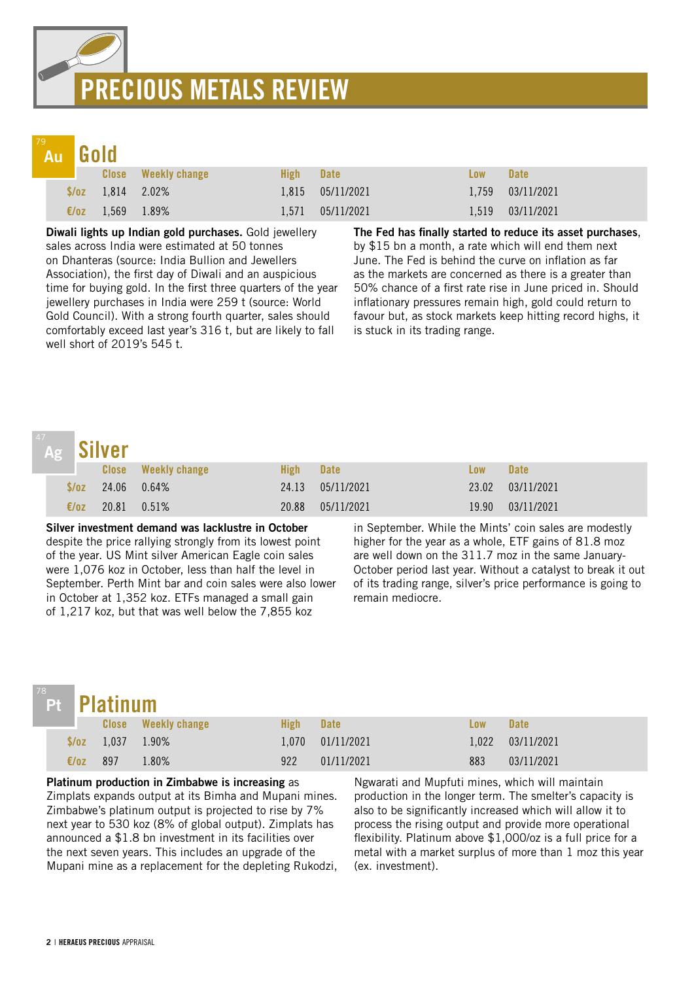# PRECIOUS METALS REVIEW

#### Gold 79 Au

|  | Au Luviu |                          |                            |           |                   |            |                    |  |
|--|----------|--------------------------|----------------------------|-----------|-------------------|------------|--------------------|--|
|  |          |                          | <b>Close</b> Weekly change | High Date |                   | <b>Low</b> | <b>Date</b>        |  |
|  |          | $\sqrt{$6z}$ 1.814 2.02% |                            |           | 1,815 05/11/2021  |            | 1,759 03/11/2021   |  |
|  |          | €/oz 1,569 1.89%         |                            |           | 1.571  05/11/2021 |            | $1,519$ 03/11/2021 |  |

Diwali lights up Indian gold purchases. Gold jewellery sales across India were estimated at 50 tonnes on Dhanteras (source: India Bullion and Jewellers Association), the first day of Diwali and an auspicious time for buying gold. In the first three quarters of the year jewellery purchases in India were 259 t (source: World Gold Council). With a strong fourth quarter, sales should comfortably exceed last year's 316 t, but are likely to fall well short of 2019's 545 t.

The Fed has finally started to reduce its asset purchases, by \$15 bn a month, a rate which will end them next June. The Fed is behind the curve on inflation as far as the markets are concerned as there is a greater than 50% chance of a first rate rise in June priced in. Should inflationary pressures remain high, gold could return to favour but, as stock markets keep hitting record highs, it is stuck in its trading range.

### Silver<br>Close Weekly change **Low High Date** Low Date  $\frac{$}{24.13}$  05/11/2021 24.06 0.64% 24.13 24.13 25/11/2021 23.02 03/11/2021  $E/\text{o}z$  20.81 0.51% 20.88 05/11/2021 19.90 03/11/2021 Ag

Silver investment demand was lacklustre in October despite the price rallying strongly from its lowest point of the year. US Mint silver American Eagle coin sales were 1,076 koz in October, less than half the level in September. Perth Mint bar and coin sales were also lower in October at 1,352 koz. ETFs managed a small gain of 1,217 koz, but that was well below the 7,855 koz

in September. While the Mints' coin sales are modestly higher for the year as a whole, ETF gains of 81.8 moz are well down on the 311.7 moz in the same January-October period last year. Without a catalyst to break it out of its trading range, silver's price performance is going to remain mediocre.

# Pt

|  | đЦ | um |
|--|----|----|
|  |    |    |
|  |    |    |

| Pt Platinum    |                        |                            |      |                  |            |                  |  |
|----------------|------------------------|----------------------------|------|------------------|------------|------------------|--|
|                |                        | <b>Close</b> Weekly change | High | <b>Date</b>      | <b>Low</b> | <b>Date</b>      |  |
|                | $\sqrt{2}$ 1,037 1.90% |                            |      | 1.070 01/11/2021 |            | 1,022 03/11/2021 |  |
| $\epsilon$ /oz | -897                   | 1.80%                      | 922  | 01/11/2021       | 883        | 03/11/2021       |  |

Platinum production in Zimbabwe is increasing as Zimplats expands output at its Bimha and Mupani mines. Zimbabwe's platinum output is projected to rise by 7% next year to 530 koz (8% of global output). Zimplats has announced a \$1.8 bn investment in its facilities over the next seven years. This includes an upgrade of the Mupani mine as a replacement for the depleting Rukodzi,

Ngwarati and Mupfuti mines, which will maintain production in the longer term. The smelter's capacity is also to be significantly increased which will allow it to process the rising output and provide more operational flexibility. Platinum above \$1,000/oz is a full price for a metal with a market surplus of more than 1 moz this year (ex. investment).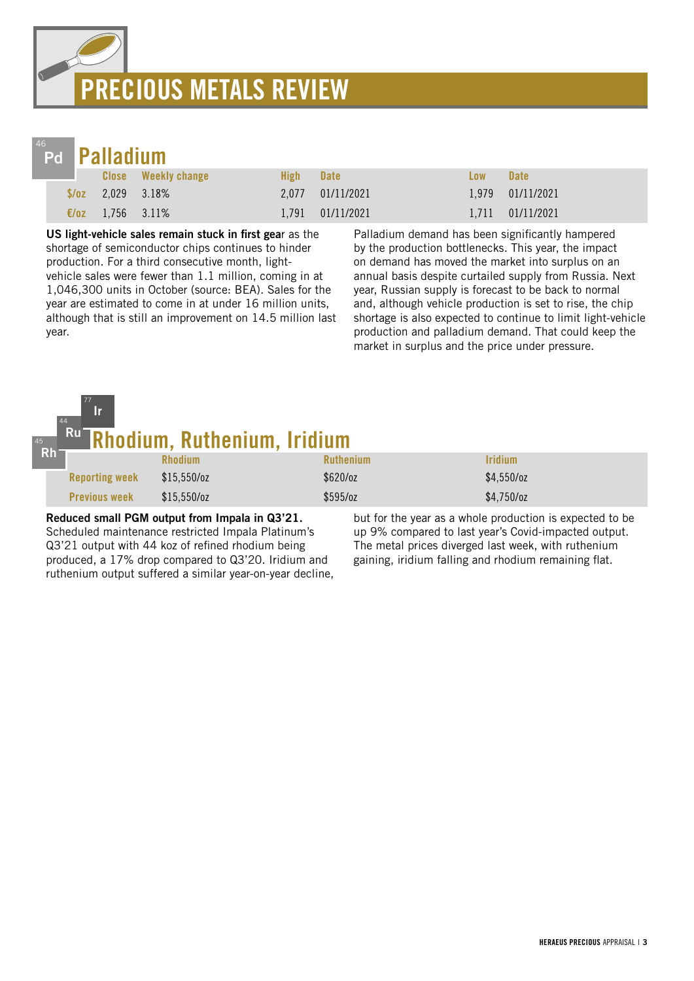# PRECIOUS METALS REVIEW



| Pd <b>Palladium</b> |             |                     |                  |                  |            |                   |  |
|---------------------|-------------|---------------------|------------------|------------------|------------|-------------------|--|
|                     |             | Close Weekly change | High <b>Nigh</b> | <b>Date</b>      | <b>Low</b> | <b>Date</b>       |  |
| S/OZ                | 2.029 3.18% |                     |                  | 2.077 01/11/2021 |            | 1,979 01/11/2021  |  |
| $\epsilon$ /0Z      | 1,756 3.11% |                     |                  | 1,791 01/11/2021 |            | 1,711  01/11/2021 |  |

US light-vehicle sales remain stuck in first gear as the shortage of semiconductor chips continues to hinder production. For a third consecutive month, lightvehicle sales were fewer than 1.1 million, coming in at 1,046,300 units in October (source: BEA). Sales for the year are estimated to come in at under 16 million units, although that is still an improvement on 14.5 million last year.

Palladium demand has been significantly hampered by the production bottlenecks. This year, the impact on demand has moved the market into surplus on an annual basis despite curtailed supply from Russia. Next year, Russian supply is forecast to be back to normal and, although vehicle production is set to rise, the chip shortage is also expected to continue to limit light-vehicle production and palladium demand. That could keep the market in surplus and the price under pressure.

| 45<br>$Rh^-$ | $\begin{array}{c} \n77\n\end{array}$<br>lr.<br>44 | Ru Rhodium, Ruthenium, Iridium                |                  |                                                          |
|--------------|---------------------------------------------------|-----------------------------------------------|------------------|----------------------------------------------------------|
|              |                                                   | <b>Rhodium</b>                                | <b>Ruthenium</b> | <b>Iridium</b>                                           |
|              | <b>Reporting week</b>                             | \$15,550/cz                                   | \$620/oz         | \$4,550/cz                                               |
|              | <b>Previous week</b>                              | \$15,550/cz                                   | \$595/oz         | $$4,750$ /oz                                             |
|              |                                                   | Reduced small PGM output from Impala in 03'21 |                  | but for the year as a whole production is expected to be |

Reduced small PGM output from Impala in Q3'21. Scheduled maintenance restricted Impala Platinum's Q3'21 output with 44 koz of refined rhodium being produced, a 17% drop compared to Q3'20. Iridium and ruthenium output suffered a similar year-on-year decline,

but for the year as a whole production is expected to be up 9% compared to last year's Covid-impacted output. The metal prices diverged last week, with ruthenium gaining, iridium falling and rhodium remaining flat.